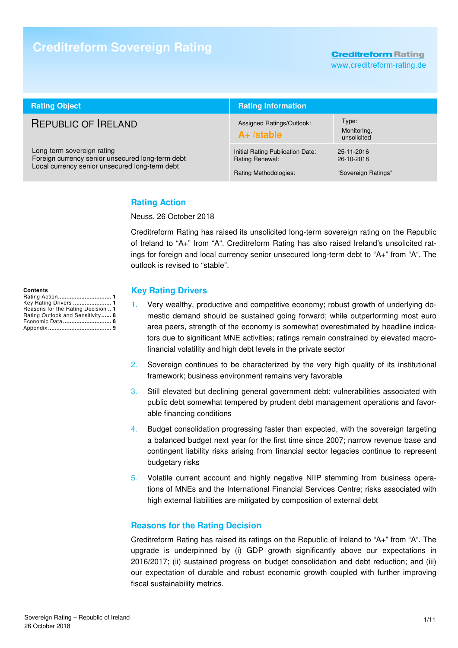# **Creditreform Sovereign Rating**

**Creditreform Rating** 

www.creditreform-rating.de

| <b>Rating Object</b>                                                                                                             | <b>Rating Information</b>                                                    |                                                 |  |
|----------------------------------------------------------------------------------------------------------------------------------|------------------------------------------------------------------------------|-------------------------------------------------|--|
| <b>REPUBLIC OF IRELAND</b>                                                                                                       | Assigned Ratings/Outlook:<br>$A+$ /stable                                    | Type:<br>Monitoring,<br>unsolicited             |  |
| Long-term sovereign rating<br>Foreign currency senior unsecured long-term debt<br>Local currency senior unsecured long-term debt | Initial Rating Publication Date:<br>Rating Renewal:<br>Rating Methodologies: | 25-11-2016<br>26-10-2018<br>"Sovereign Ratings" |  |

### **Rating Action**

Neuss, 26 October 2018

Creditreform Rating has raised its unsolicited long-term sovereign rating on the Republic of Ireland to "A+" from "A". Creditreform Rating has also raised Ireland's unsolicited ratings for foreign and local currency senior unsecured long-term debt to "A+" from "A". The outlook is revised to "stable".

#### **Contents**

| Key Rating Drivers  1              |
|------------------------------------|
| Reasons for the Rating Decision  1 |
| Rating Outlook and Sensitivity 8   |
| Economic Data 8                    |
|                                    |

### **Key Rating Drivers**

- 1. Very wealthy, productive and competitive economy; robust growth of underlying domestic demand should be sustained going forward; while outperforming most euro area peers, strength of the economy is somewhat overestimated by headline indicators due to significant MNE activities; ratings remain constrained by elevated macrofinancial volatility and high debt levels in the private sector
- 2. Sovereign continues to be characterized by the very high quality of its institutional framework; business environment remains very favorable
- 3. Still elevated but declining general government debt; vulnerabilities associated with public debt somewhat tempered by prudent debt management operations and favorable financing conditions
- 4. Budget consolidation progressing faster than expected, with the sovereign targeting a balanced budget next year for the first time since 2007; narrow revenue base and contingent liability risks arising from financial sector legacies continue to represent budgetary risks
- 5. Volatile current account and highly negative NIIP stemming from business operations of MNEs and the International Financial Services Centre; risks associated with high external liabilities are mitigated by composition of external debt

### **Reasons for the Rating Decision**

Creditreform Rating has raised its ratings on the Republic of Ireland to "A+" from "A". The upgrade is underpinned by (i) GDP growth significantly above our expectations in 2016/2017; (ii) sustained progress on budget consolidation and debt reduction; and (iii) our expectation of durable and robust economic growth coupled with further improving fiscal sustainability metrics.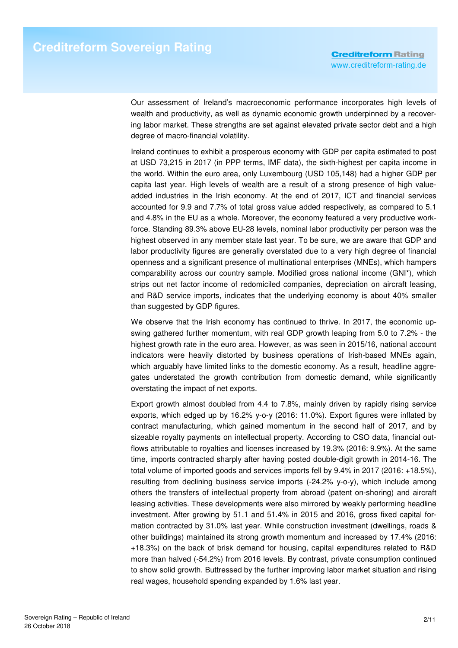Our assessment of Ireland's macroeconomic performance incorporates high levels of wealth and productivity, as well as dynamic economic growth underpinned by a recovering labor market. These strengths are set against elevated private sector debt and a high degree of macro-financial volatility.

Ireland continues to exhibit a prosperous economy with GDP per capita estimated to post at USD 73,215 in 2017 (in PPP terms, IMF data), the sixth-highest per capita income in the world. Within the euro area, only Luxembourg (USD 105,148) had a higher GDP per capita last year. High levels of wealth are a result of a strong presence of high valueadded industries in the Irish economy. At the end of 2017, ICT and financial services accounted for 9.9 and 7.7% of total gross value added respectively, as compared to 5.1 and 4.8% in the EU as a whole. Moreover, the economy featured a very productive workforce. Standing 89.3% above EU-28 levels, nominal labor productivity per person was the highest observed in any member state last year. To be sure, we are aware that GDP and labor productivity figures are generally overstated due to a very high degree of financial openness and a significant presence of multinational enterprises (MNEs), which hampers comparability across our country sample. Modified gross national income (GNI\*), which strips out net factor income of redomiciled companies, depreciation on aircraft leasing, and R&D service imports, indicates that the underlying economy is about 40% smaller than suggested by GDP figures.

We observe that the Irish economy has continued to thrive. In 2017, the economic upswing gathered further momentum, with real GDP growth leaping from 5.0 to 7.2% - the highest growth rate in the euro area. However, as was seen in 2015/16, national account indicators were heavily distorted by business operations of Irish-based MNEs again, which arguably have limited links to the domestic economy. As a result, headline aggregates understated the growth contribution from domestic demand, while significantly overstating the impact of net exports.

Export growth almost doubled from 4.4 to 7.8%, mainly driven by rapidly rising service exports, which edged up by 16.2% y-o-y (2016: 11.0%). Export figures were inflated by contract manufacturing, which gained momentum in the second half of 2017, and by sizeable royalty payments on intellectual property. According to CSO data, financial outflows attributable to royalties and licenses increased by 19.3% (2016: 9.9%). At the same time, imports contracted sharply after having posted double-digit growth in 2014-16. The total volume of imported goods and services imports fell by 9.4% in 2017 (2016: +18.5%), resulting from declining business service imports (-24.2% y-o-y), which include among others the transfers of intellectual property from abroad (patent on-shoring) and aircraft leasing activities. These developments were also mirrored by weakly performing headline investment. After growing by 51.1 and 51.4% in 2015 and 2016, gross fixed capital formation contracted by 31.0% last year. While construction investment (dwellings, roads & other buildings) maintained its strong growth momentum and increased by 17.4% (2016: +18.3%) on the back of brisk demand for housing, capital expenditures related to R&D more than halved (-54.2%) from 2016 levels. By contrast, private consumption continued to show solid growth. Buttressed by the further improving labor market situation and rising real wages, household spending expanded by 1.6% last year.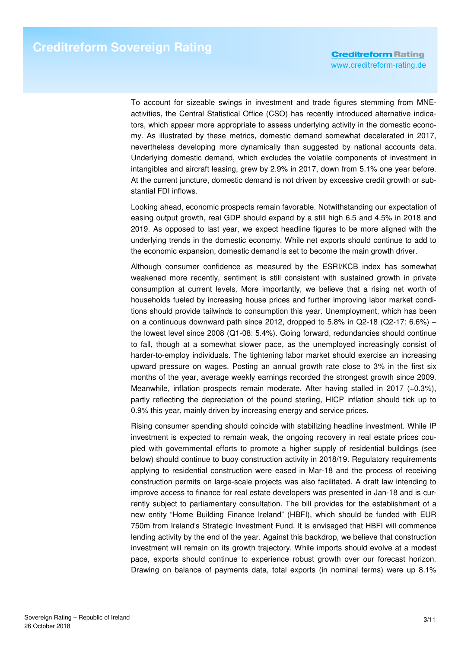To account for sizeable swings in investment and trade figures stemming from MNEactivities, the Central Statistical Office (CSO) has recently introduced alternative indicators, which appear more appropriate to assess underlying activity in the domestic economy. As illustrated by these metrics, domestic demand somewhat decelerated in 2017, nevertheless developing more dynamically than suggested by national accounts data. Underlying domestic demand, which excludes the volatile components of investment in intangibles and aircraft leasing, grew by 2.9% in 2017, down from 5.1% one year before. At the current juncture, domestic demand is not driven by excessive credit growth or substantial FDI inflows.

Looking ahead, economic prospects remain favorable. Notwithstanding our expectation of easing output growth, real GDP should expand by a still high 6.5 and 4.5% in 2018 and 2019. As opposed to last year, we expect headline figures to be more aligned with the underlying trends in the domestic economy. While net exports should continue to add to the economic expansion, domestic demand is set to become the main growth driver.

Although consumer confidence as measured by the ESRI/KCB index has somewhat weakened more recently, sentiment is still consistent with sustained growth in private consumption at current levels. More importantly, we believe that a rising net worth of households fueled by increasing house prices and further improving labor market conditions should provide tailwinds to consumption this year. Unemployment, which has been on a continuous downward path since 2012, dropped to 5.8% in Q2-18 (Q2-17:  $6.6\%$ ) – the lowest level since 2008 (Q1-08: 5.4%). Going forward, redundancies should continue to fall, though at a somewhat slower pace, as the unemployed increasingly consist of harder-to-employ individuals. The tightening labor market should exercise an increasing upward pressure on wages. Posting an annual growth rate close to 3% in the first six months of the year, average weekly earnings recorded the strongest growth since 2009. Meanwhile, inflation prospects remain moderate. After having stalled in 2017 (+0.3%), partly reflecting the depreciation of the pound sterling, HICP inflation should tick up to 0.9% this year, mainly driven by increasing energy and service prices.

Rising consumer spending should coincide with stabilizing headline investment. While IP investment is expected to remain weak, the ongoing recovery in real estate prices coupled with governmental efforts to promote a higher supply of residential buildings (see below) should continue to buoy construction activity in 2018/19. Regulatory requirements applying to residential construction were eased in Mar-18 and the process of receiving construction permits on large-scale projects was also facilitated. A draft law intending to improve access to finance for real estate developers was presented in Jan-18 and is currently subject to parliamentary consultation. The bill provides for the establishment of a new entity "Home Building Finance Ireland" (HBFI), which should be funded with EUR 750m from Ireland's Strategic Investment Fund. It is envisaged that HBFI will commence lending activity by the end of the year. Against this backdrop, we believe that construction investment will remain on its growth trajectory. While imports should evolve at a modest pace, exports should continue to experience robust growth over our forecast horizon. Drawing on balance of payments data, total exports (in nominal terms) were up 8.1%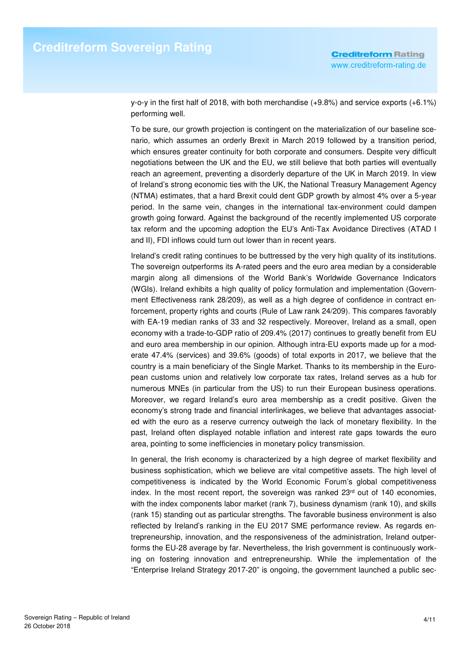y-o-y in the first half of 2018, with both merchandise (+9.8%) and service exports (+6.1%) performing well.

To be sure, our growth projection is contingent on the materialization of our baseline scenario, which assumes an orderly Brexit in March 2019 followed by a transition period, which ensures greater continuity for both corporate and consumers. Despite very difficult negotiations between the UK and the EU, we still believe that both parties will eventually reach an agreement, preventing a disorderly departure of the UK in March 2019. In view of Ireland's strong economic ties with the UK, the National Treasury Management Agency (NTMA) estimates, that a hard Brexit could dent GDP growth by almost 4% over a 5-year period. In the same vein, changes in the international tax-environment could dampen growth going forward. Against the background of the recently implemented US corporate tax reform and the upcoming adoption the EU's Anti-Tax Avoidance Directives (ATAD I and II), FDI inflows could turn out lower than in recent years.

Ireland's credit rating continues to be buttressed by the very high quality of its institutions. The sovereign outperforms its A-rated peers and the euro area median by a considerable margin along all dimensions of the World Bank's Worldwide Governance Indicators (WGIs). Ireland exhibits a high quality of policy formulation and implementation (Government Effectiveness rank 28/209), as well as a high degree of confidence in contract enforcement, property rights and courts (Rule of Law rank 24/209). This compares favorably with EA-19 median ranks of 33 and 32 respectively. Moreover, Ireland as a small, open economy with a trade-to-GDP ratio of 209.4% (2017) continues to greatly benefit from EU and euro area membership in our opinion. Although intra-EU exports made up for a moderate 47.4% (services) and 39.6% (goods) of total exports in 2017, we believe that the country is a main beneficiary of the Single Market. Thanks to its membership in the European customs union and relatively low corporate tax rates, Ireland serves as a hub for numerous MNEs (in particular from the US) to run their European business operations. Moreover, we regard Ireland's euro area membership as a credit positive. Given the economy's strong trade and financial interlinkages, we believe that advantages associated with the euro as a reserve currency outweigh the lack of monetary flexibility. In the past, Ireland often displayed notable inflation and interest rate gaps towards the euro area, pointing to some inefficiencies in monetary policy transmission.

In general, the Irish economy is characterized by a high degree of market flexibility and business sophistication, which we believe are vital competitive assets. The high level of competitiveness is indicated by the World Economic Forum's global competitiveness index. In the most recent report, the sovereign was ranked  $23<sup>rd</sup>$  out of 140 economies, with the index components labor market (rank 7), business dynamism (rank 10), and skills (rank 15) standing out as particular strengths. The favorable business environment is also reflected by Ireland's ranking in the EU 2017 SME performance review. As regards entrepreneurship, innovation, and the responsiveness of the administration, Ireland outperforms the EU-28 average by far. Nevertheless, the Irish government is continuously working on fostering innovation and entrepreneurship. While the implementation of the "Enterprise Ireland Strategy 2017-20" is ongoing, the government launched a public sec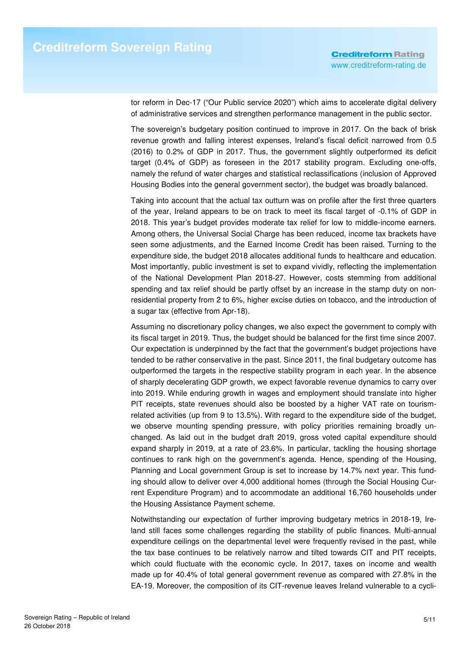tor reform in Dec-17 ("Our Public service 2020") which aims to accelerate digital delivery of administrative services and strengthen performance management in the public sector.

The sovereign's budgetary position continued to improve in 2017. On the back of brisk revenue growth and falling interest expenses, Ireland's fiscal deficit narrowed from 0.5 (2016) to 0.2% of GDP in 2017. Thus, the government slightly outperformed its deficit target (0.4% of GDP) as foreseen in the 2017 stability program. Excluding one-offs, namely the refund of water charges and statistical reclassifications (inclusion of Approved Housing Bodies into the general government sector), the budget was broadly balanced.

Taking into account that the actual tax outturn was on profile after the first three quarters of the year, Ireland appears to be on track to meet its fiscal target of -0.1% of GDP in 2018. This year's budget provides moderate tax relief for low to middle-income earners. Among others, the Universal Social Charge has been reduced, income tax brackets have seen some adjustments, and the Earned Income Credit has been raised. Turning to the expenditure side, the budget 2018 allocates additional funds to healthcare and education. Most importantly, public investment is set to expand vividly, reflecting the implementation of the National Development Plan 2018-27. However, costs stemming from additional spending and tax relief should be partly offset by an increase in the stamp duty on nonresidential property from 2 to 6%, higher excise duties on tobacco, and the introduction of a sugar tax (effective from Apr-18).

Assuming no discretionary policy changes, we also expect the government to comply with its fiscal target in 2019. Thus, the budget should be balanced for the first time since 2007. Our expectation is underpinned by the fact that the government's budget projections have tended to be rather conservative in the past. Since 2011, the final budgetary outcome has outperformed the targets in the respective stability program in each year. In the absence of sharply decelerating GDP growth, we expect favorable revenue dynamics to carry over into 2019. While enduring growth in wages and employment should translate into higher PIT receipts, state revenues should also be boosted by a higher VAT rate on tourismrelated activities (up from 9 to 13.5%). With regard to the expenditure side of the budget, we observe mounting spending pressure, with policy priorities remaining broadly unchanged. As laid out in the budget draft 2019, gross voted capital expenditure should expand sharply in 2019, at a rate of 23.6%. In particular, tackling the housing shortage continues to rank high on the government's agenda. Hence, spending of the Housing, Planning and Local government Group is set to increase by 14.7% next year. This funding should allow to deliver over 4,000 additional homes (through the Social Housing Current Expenditure Program) and to accommodate an additional 16,760 households under the Housing Assistance Payment scheme.

Notwithstanding our expectation of further improving budgetary metrics in 2018-19, Ireland still faces some challenges regarding the stability of public finances. Multi-annual expenditure ceilings on the departmental level were frequently revised in the past, while the tax base continues to be relatively narrow and tilted towards CIT and PIT receipts, which could fluctuate with the economic cycle. In 2017, taxes on income and wealth made up for 40.4% of total general government revenue as compared with 27.8% in the EA-19. Moreover, the composition of its CIT-revenue leaves Ireland vulnerable to a cycli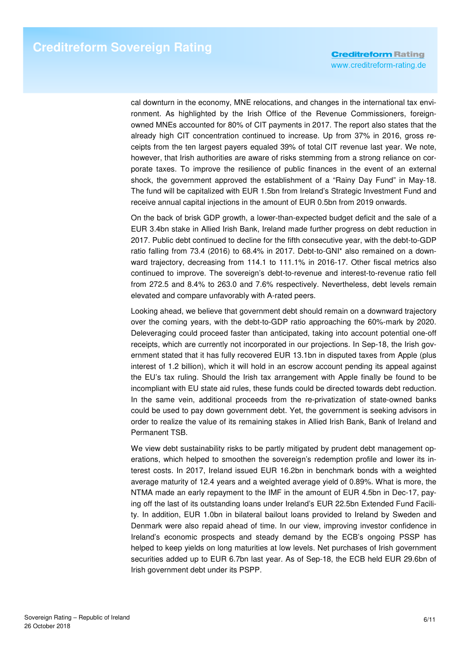cal downturn in the economy, MNE relocations, and changes in the international tax environment. As highlighted by the Irish Office of the Revenue Commissioners, foreignowned MNEs accounted for 80% of CIT payments in 2017. The report also states that the already high CIT concentration continued to increase. Up from 37% in 2016, gross receipts from the ten largest payers equaled 39% of total CIT revenue last year. We note, however, that Irish authorities are aware of risks stemming from a strong reliance on corporate taxes. To improve the resilience of public finances in the event of an external shock, the government approved the establishment of a "Rainy Day Fund" in May-18. The fund will be capitalized with EUR 1.5bn from Ireland's Strategic Investment Fund and receive annual capital injections in the amount of EUR 0.5bn from 2019 onwards.

On the back of brisk GDP growth, a lower-than-expected budget deficit and the sale of a EUR 3.4bn stake in Allied Irish Bank, Ireland made further progress on debt reduction in 2017. Public debt continued to decline for the fifth consecutive year, with the debt-to-GDP ratio falling from 73.4 (2016) to 68.4% in 2017. Debt-to-GNI\* also remained on a downward trajectory, decreasing from 114.1 to 111.1% in 2016-17. Other fiscal metrics also continued to improve. The sovereign's debt-to-revenue and interest-to-revenue ratio fell from 272.5 and 8.4% to 263.0 and 7.6% respectively. Nevertheless, debt levels remain elevated and compare unfavorably with A-rated peers.

Looking ahead, we believe that government debt should remain on a downward trajectory over the coming years, with the debt-to-GDP ratio approaching the 60%-mark by 2020. Deleveraging could proceed faster than anticipated, taking into account potential one-off receipts, which are currently not incorporated in our projections. In Sep-18, the Irish government stated that it has fully recovered EUR 13.1bn in disputed taxes from Apple (plus interest of 1.2 billion), which it will hold in an escrow account pending its appeal against the EU's tax ruling. Should the Irish tax arrangement with Apple finally be found to be incompliant with EU state aid rules, these funds could be directed towards debt reduction. In the same vein, additional proceeds from the re-privatization of state-owned banks could be used to pay down government debt. Yet, the government is seeking advisors in order to realize the value of its remaining stakes in Allied Irish Bank, Bank of Ireland and Permanent TSB.

We view debt sustainability risks to be partly mitigated by prudent debt management operations, which helped to smoothen the sovereign's redemption profile and lower its interest costs. In 2017, Ireland issued EUR 16.2bn in benchmark bonds with a weighted average maturity of 12.4 years and a weighted average yield of 0.89%. What is more, the NTMA made an early repayment to the IMF in the amount of EUR 4.5bn in Dec-17, paying off the last of its outstanding loans under Ireland's EUR 22.5bn Extended Fund Facility. In addition, EUR 1.0bn in bilateral bailout loans provided to Ireland by Sweden and Denmark were also repaid ahead of time. In our view, improving investor confidence in Ireland's economic prospects and steady demand by the ECB's ongoing PSSP has helped to keep yields on long maturities at low levels. Net purchases of Irish government securities added up to EUR 6.7bn last year. As of Sep-18, the ECB held EUR 29.6bn of Irish government debt under its PSPP.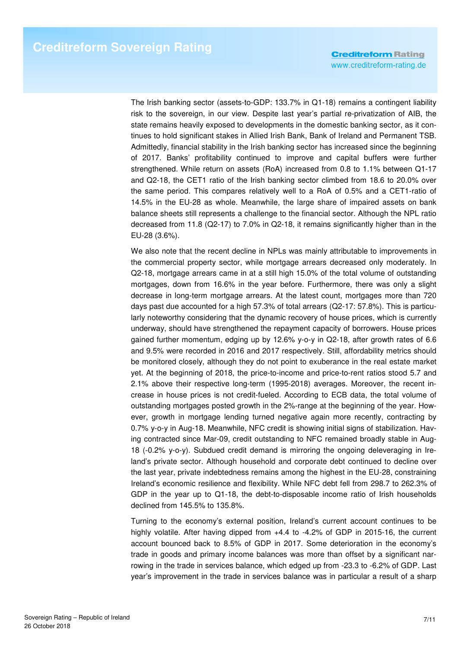The Irish banking sector (assets-to-GDP: 133.7% in Q1-18) remains a contingent liability risk to the sovereign, in our view. Despite last year's partial re-privatization of AIB, the state remains heavily exposed to developments in the domestic banking sector, as it continues to hold significant stakes in Allied Irish Bank, Bank of Ireland and Permanent TSB. Admittedly, financial stability in the Irish banking sector has increased since the beginning of 2017. Banks' profitability continued to improve and capital buffers were further strengthened. While return on assets (RoA) increased from 0.8 to 1.1% between Q1-17 and Q2-18, the CET1 ratio of the Irish banking sector climbed from 18.6 to 20.0% over the same period. This compares relatively well to a RoA of 0.5% and a CET1-ratio of 14.5% in the EU-28 as whole. Meanwhile, the large share of impaired assets on bank balance sheets still represents a challenge to the financial sector. Although the NPL ratio decreased from 11.8 (Q2-17) to 7.0% in Q2-18, it remains significantly higher than in the EU-28 (3.6%).

We also note that the recent decline in NPLs was mainly attributable to improvements in the commercial property sector, while mortgage arrears decreased only moderately. In Q2-18, mortgage arrears came in at a still high 15.0% of the total volume of outstanding mortgages, down from 16.6% in the year before. Furthermore, there was only a slight decrease in long-term mortgage arrears. At the latest count, mortgages more than 720 days past due accounted for a high 57.3% of total arrears (Q2-17: 57.8%). This is particularly noteworthy considering that the dynamic recovery of house prices, which is currently underway, should have strengthened the repayment capacity of borrowers. House prices gained further momentum, edging up by 12.6% y-o-y in Q2-18, after growth rates of 6.6 and 9.5% were recorded in 2016 and 2017 respectively. Still, affordability metrics should be monitored closely, although they do not point to exuberance in the real estate market yet. At the beginning of 2018, the price-to-income and price-to-rent ratios stood 5.7 and 2.1% above their respective long-term (1995-2018) averages. Moreover, the recent increase in house prices is not credit-fueled. According to ECB data, the total volume of outstanding mortgages posted growth in the 2%-range at the beginning of the year. However, growth in mortgage lending turned negative again more recently, contracting by 0.7% y-o-y in Aug-18. Meanwhile, NFC credit is showing initial signs of stabilization. Having contracted since Mar-09, credit outstanding to NFC remained broadly stable in Aug-18 (-0.2% y-o-y). Subdued credit demand is mirroring the ongoing deleveraging in Ireland's private sector. Although household and corporate debt continued to decline over the last year, private indebtedness remains among the highest in the EU-28, constraining Ireland's economic resilience and flexibility. While NFC debt fell from 298.7 to 262.3% of GDP in the year up to Q1-18, the debt-to-disposable income ratio of Irish households declined from 145.5% to 135.8%.

Turning to the economy's external position, Ireland's current account continues to be highly volatile. After having dipped from +4.4 to -4.2% of GDP in 2015-16, the current account bounced back to 8.5% of GDP in 2017. Some deterioration in the economy's trade in goods and primary income balances was more than offset by a significant narrowing in the trade in services balance, which edged up from -23.3 to -6.2% of GDP. Last year's improvement in the trade in services balance was in particular a result of a sharp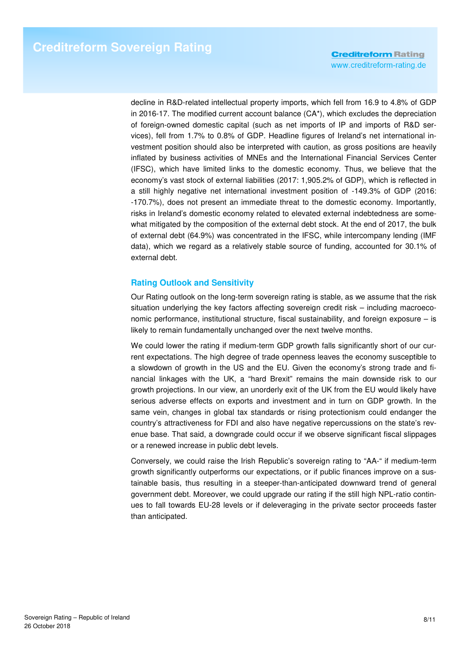decline in R&D-related intellectual property imports, which fell from 16.9 to 4.8% of GDP in 2016-17. The modified current account balance (CA\*), which excludes the depreciation of foreign-owned domestic capital (such as net imports of IP and imports of R&D services), fell from 1.7% to 0.8% of GDP. Headline figures of Ireland's net international investment position should also be interpreted with caution, as gross positions are heavily inflated by business activities of MNEs and the International Financial Services Center (IFSC), which have limited links to the domestic economy. Thus, we believe that the economy's vast stock of external liabilities (2017: 1,905.2% of GDP), which is reflected in a still highly negative net international investment position of -149.3% of GDP (2016: -170.7%), does not present an immediate threat to the domestic economy. Importantly, risks in Ireland's domestic economy related to elevated external indebtedness are somewhat mitigated by the composition of the external debt stock. At the end of 2017, the bulk of external debt (64.9%) was concentrated in the IFSC, while intercompany lending (IMF data), which we regard as a relatively stable source of funding, accounted for 30.1% of external debt.

### **Rating Outlook and Sensitivity**

Our Rating outlook on the long-term sovereign rating is stable, as we assume that the risk situation underlying the key factors affecting sovereign credit risk – including macroeconomic performance, institutional structure, fiscal sustainability, and foreign exposure – is likely to remain fundamentally unchanged over the next twelve months.

We could lower the rating if medium-term GDP growth falls significantly short of our current expectations. The high degree of trade openness leaves the economy susceptible to a slowdown of growth in the US and the EU. Given the economy's strong trade and financial linkages with the UK, a "hard Brexit" remains the main downside risk to our growth projections. In our view, an unorderly exit of the UK from the EU would likely have serious adverse effects on exports and investment and in turn on GDP growth. In the same vein, changes in global tax standards or rising protectionism could endanger the country's attractiveness for FDI and also have negative repercussions on the state's revenue base. That said, a downgrade could occur if we observe significant fiscal slippages or a renewed increase in public debt levels.

Conversely, we could raise the Irish Republic's sovereign rating to "AA-" if medium-term growth significantly outperforms our expectations, or if public finances improve on a sustainable basis, thus resulting in a steeper-than-anticipated downward trend of general government debt. Moreover, we could upgrade our rating if the still high NPL-ratio continues to fall towards EU-28 levels or if deleveraging in the private sector proceeds faster than anticipated.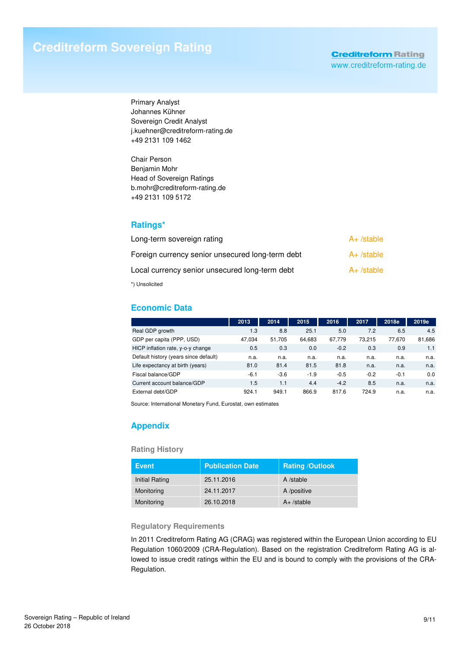Primary Analyst Johannes Kühner Sovereign Credit Analyst j.kuehner@creditreform-rating.de +49 2131 109 1462

Chair Person Benjamin Mohr Head of Sovereign Ratings b.mohr@creditreform-rating.de +49 2131 109 5172

## **Ratings\***

| Long-term sovereign rating                       | $A+$ /stable |
|--------------------------------------------------|--------------|
| Foreign currency senior unsecured long-term debt | $A+$ /stable |
| Local currency senior unsecured long-term debt   | $A+$ /stable |
|                                                  |              |

\*) Unsolicited

# **Economic Data**

|                                       | 2013   | 2014   | 2015   | 2016   | 2017   | 2018e  | 2019e  |
|---------------------------------------|--------|--------|--------|--------|--------|--------|--------|
| Real GDP growth                       | 1.3    | 8.8    | 25.1   | 5.0    | 7.2    | 6.5    | 4.5    |
| GDP per capita (PPP, USD)             | 47.034 | 51.705 | 64,683 | 67.779 | 73.215 | 77.670 | 81,686 |
| HICP inflation rate, y-o-y change     | 0.5    | 0.3    | 0.0    | $-0.2$ | 0.3    | 0.9    | 1.1    |
| Default history (years since default) | n.a.   | n.a.   | n.a.   | n.a.   | n.a.   | n.a.   | n.a.   |
| Life expectancy at birth (years)      | 81.0   | 81.4   | 81.5   | 81.8   | n.a.   | n.a.   | n.a.   |
| Fiscal balance/GDP                    | $-6.1$ | $-3.6$ | $-1.9$ | $-0.5$ | $-0.2$ | $-0.1$ | 0.0    |
| Current account balance/GDP           | 1.5    | 1.1    | 4.4    | $-4.2$ | 8.5    | n.a.   | n.a.   |
| External debt/GDP                     | 924.1  | 949.1  | 866.9  | 817.6  | 724.9  | n.a.   | n.a.   |

Source: International Monetary Fund, Eurostat, own estimates

# **Appendix**

### **Rating History**

| <b>Event</b>          | <b>Publication Date</b> | <b>Rating /Outlook</b> |
|-----------------------|-------------------------|------------------------|
| <b>Initial Rating</b> | 25.11.2016              | A /stable              |
| Monitoring            | 24.11.2017              | A /positive            |
| Monitoring            | 26.10.2018              | $A+$ /stable           |

### **Regulatory Requirements**

In 2011 Creditreform Rating AG (CRAG) was registered within the European Union according to EU Regulation 1060/2009 (CRA-Regulation). Based on the registration Creditreform Rating AG is allowed to issue credit ratings within the EU and is bound to comply with the provisions of the CRA-Regulation.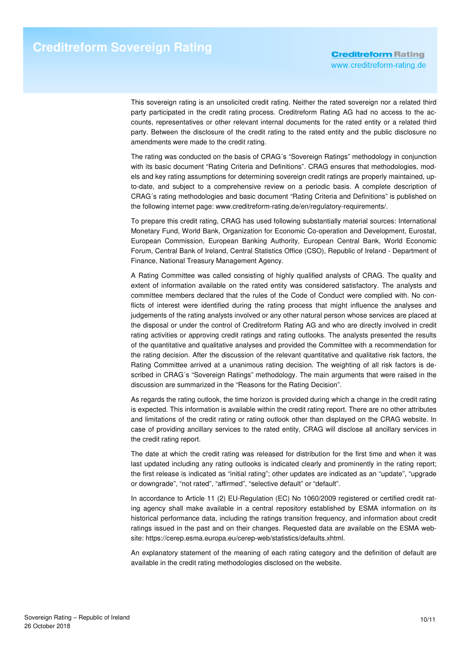This sovereign rating is an unsolicited credit rating. Neither the rated sovereign nor a related third party participated in the credit rating process. Creditreform Rating AG had no access to the accounts, representatives or other relevant internal documents for the rated entity or a related third party. Between the disclosure of the credit rating to the rated entity and the public disclosure no amendments were made to the credit rating.

The rating was conducted on the basis of CRAG´s "Sovereign Ratings" methodology in conjunction with its basic document "Rating Criteria and Definitions". CRAG ensures that methodologies, models and key rating assumptions for determining sovereign credit ratings are properly maintained, upto-date, and subject to a comprehensive review on a periodic basis. A complete description of CRAG´s rating methodologies and basic document "Rating Criteria and Definitions" is published on the following internet page: www.creditreform-rating.de/en/regulatory-requirements/.

To prepare this credit rating, CRAG has used following substantially material sources: International Monetary Fund, World Bank, Organization for Economic Co-operation and Development, Eurostat, European Commission, European Banking Authority, European Central Bank, World Economic Forum, Central Bank of Ireland, Central Statistics Office (CSO), Republic of Ireland - Department of Finance, National Treasury Management Agency.

A Rating Committee was called consisting of highly qualified analysts of CRAG. The quality and extent of information available on the rated entity was considered satisfactory. The analysts and committee members declared that the rules of the Code of Conduct were complied with. No conflicts of interest were identified during the rating process that might influence the analyses and judgements of the rating analysts involved or any other natural person whose services are placed at the disposal or under the control of Creditreform Rating AG and who are directly involved in credit rating activities or approving credit ratings and rating outlooks. The analysts presented the results of the quantitative and qualitative analyses and provided the Committee with a recommendation for the rating decision. After the discussion of the relevant quantitative and qualitative risk factors, the Rating Committee arrived at a unanimous rating decision. The weighting of all risk factors is described in CRAG´s "Sovereign Ratings" methodology. The main arguments that were raised in the discussion are summarized in the "Reasons for the Rating Decision".

As regards the rating outlook, the time horizon is provided during which a change in the credit rating is expected. This information is available within the credit rating report. There are no other attributes and limitations of the credit rating or rating outlook other than displayed on the CRAG website. In case of providing ancillary services to the rated entity, CRAG will disclose all ancillary services in the credit rating report.

The date at which the credit rating was released for distribution for the first time and when it was last updated including any rating outlooks is indicated clearly and prominently in the rating report; the first release is indicated as "initial rating"; other updates are indicated as an "update", "upgrade or downgrade", "not rated", "affirmed", "selective default" or "default".

In accordance to Article 11 (2) EU-Regulation (EC) No 1060/2009 registered or certified credit rating agency shall make available in a central repository established by ESMA information on its historical performance data, including the ratings transition frequency, and information about credit ratings issued in the past and on their changes. Requested data are available on the ESMA website: https://cerep.esma.europa.eu/cerep-web/statistics/defaults.xhtml.

An explanatory statement of the meaning of each rating category and the definition of default are available in the credit rating methodologies disclosed on the website.